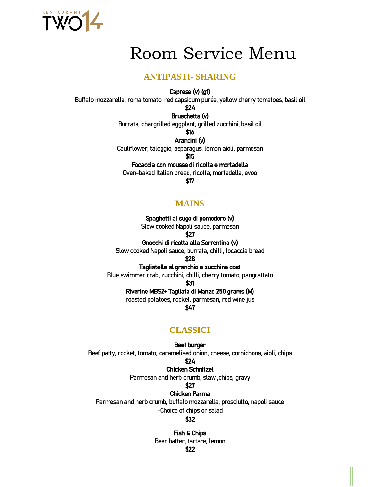

# Room Service Menu

# **ANTIPASTI- SHARING**

#### Caprese (v) (gf)

Buffalo mozzarella, roma tomato, red capsicum purée, yellow cherry tomatoes, basil oil

\$24

# Bruschetta (v)

Burrata, chargrilled eggplant, grilled zucchini, basil oil

\$16

Arancini (v)

Cauliflower, taleggio, asparagus, lemon aioli, parmesan

\$15

## Focaccia con mousse di ricotta e mortadella

Oven-baked Italian bread, ricotta, mortadella, evoo

\$17

# **MAINS**

Spaghetti al sugo di pomodoro (v)

Slow cooked Napoli sauce, parmesan

\$27

Gnocchi di ricotta alla Sorrentina (v)

Slow cooked Napoli sauce, burrata, chilli, focaccia bread

\$28

Tagliatelle al granchio e zucchine cost

Blue swimmer crab, zucchini, chilli, cherry tomato, pangrattato

\$31

## Riverine MBS2+ Tagliata di Manzo 250 grams (M)

roasted potatoes, rocket, parmesan, red wine jus

\$47

# **CLASSICI**

#### Beef burger

Beef patty, rocket, tomato, caramelised onion, cheese, cornichons, aioli, chips

\$24

#### Chicken Schnitzel

Parmesan and herb crumb, slaw , chips, gravy

# \$27

Chicken Parma

Parmesan and herb crumb, buffalo mozzarella, prosciutto, napoli sauce

-Choice of chips or salad

### \$32

Fish & Chips

Beer batter, tartare, lemon

\$22